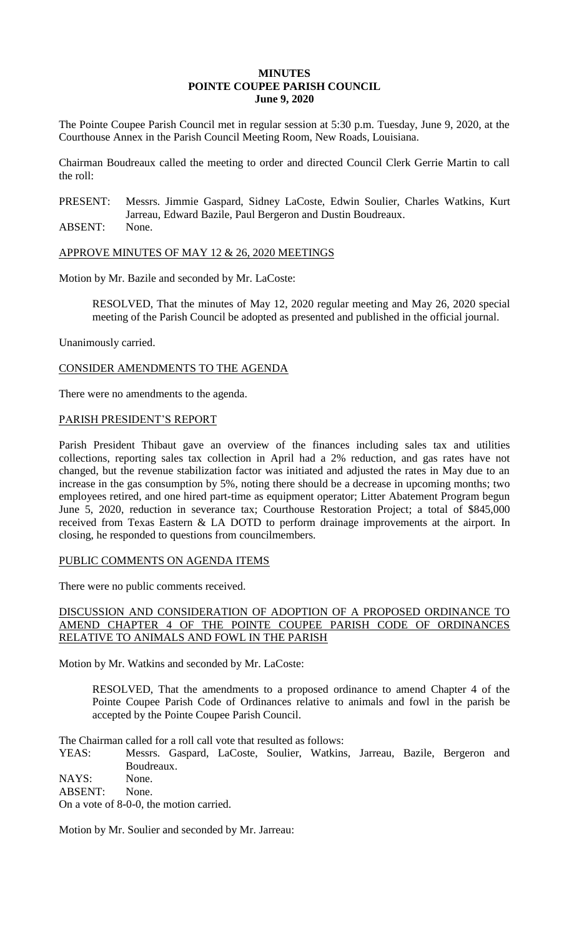## **MINUTES POINTE COUPEE PARISH COUNCIL June 9, 2020**

The Pointe Coupee Parish Council met in regular session at 5:30 p.m. Tuesday, June 9, 2020, at the Courthouse Annex in the Parish Council Meeting Room, New Roads, Louisiana.

Chairman Boudreaux called the meeting to order and directed Council Clerk Gerrie Martin to call the roll:

PRESENT: Messrs. Jimmie Gaspard, Sidney LaCoste, Edwin Soulier, Charles Watkins, Kurt Jarreau, Edward Bazile, Paul Bergeron and Dustin Boudreaux.

ABSENT: None.

APPROVE MINUTES OF MAY 12 & 26, 2020 MEETINGS

Motion by Mr. Bazile and seconded by Mr. LaCoste:

RESOLVED, That the minutes of May 12, 2020 regular meeting and May 26, 2020 special meeting of the Parish Council be adopted as presented and published in the official journal.

Unanimously carried.

CONSIDER AMENDMENTS TO THE AGENDA

There were no amendments to the agenda.

### PARISH PRESIDENT'S REPORT

Parish President Thibaut gave an overview of the finances including sales tax and utilities collections, reporting sales tax collection in April had a 2% reduction, and gas rates have not changed, but the revenue stabilization factor was initiated and adjusted the rates in May due to an increase in the gas consumption by 5%, noting there should be a decrease in upcoming months; two employees retired, and one hired part-time as equipment operator; Litter Abatement Program begun June 5, 2020, reduction in severance tax; Courthouse Restoration Project; a total of \$845,000 received from Texas Eastern & LA DOTD to perform drainage improvements at the airport. In closing, he responded to questions from councilmembers.

#### PUBLIC COMMENTS ON AGENDA ITEMS

There were no public comments received.

# DISCUSSION AND CONSIDERATION OF ADOPTION OF A PROPOSED ORDINANCE TO AMEND CHAPTER 4 OF THE POINTE COUPEE PARISH CODE OF ORDINANCES RELATIVE TO ANIMALS AND FOWL IN THE PARISH

Motion by Mr. Watkins and seconded by Mr. LaCoste:

RESOLVED, That the amendments to a proposed ordinance to amend Chapter 4 of the Pointe Coupee Parish Code of Ordinances relative to animals and fowl in the parish be accepted by the Pointe Coupee Parish Council.

The Chairman called for a roll call vote that resulted as follows:

YEAS: Messrs. Gaspard, LaCoste, Soulier, Watkins, Jarreau, Bazile, Bergeron and Boudreaux.

NAYS: None.

ABSENT: None.

On a vote of 8-0-0, the motion carried.

Motion by Mr. Soulier and seconded by Mr. Jarreau: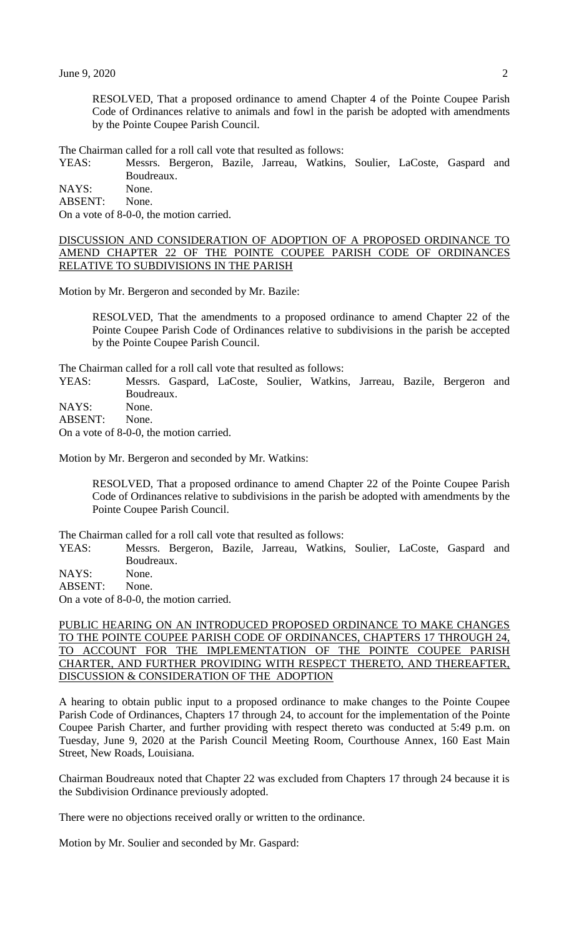RESOLVED, That a proposed ordinance to amend Chapter 4 of the Pointe Coupee Parish Code of Ordinances relative to animals and fowl in the parish be adopted with amendments by the Pointe Coupee Parish Council.

The Chairman called for a roll call vote that resulted as follows:

YEAS: Messrs. Bergeron, Bazile, Jarreau, Watkins, Soulier, LaCoste, Gaspard and Boudreaux.

NAYS: None. ABSENT: None.

On a vote of 8-0-0, the motion carried.

DISCUSSION AND CONSIDERATION OF ADOPTION OF A PROPOSED ORDINANCE TO AMEND CHAPTER 22 OF THE POINTE COUPEE PARISH CODE OF ORDINANCES RELATIVE TO SUBDIVISIONS IN THE PARISH

Motion by Mr. Bergeron and seconded by Mr. Bazile:

RESOLVED, That the amendments to a proposed ordinance to amend Chapter 22 of the Pointe Coupee Parish Code of Ordinances relative to subdivisions in the parish be accepted by the Pointe Coupee Parish Council.

The Chairman called for a roll call vote that resulted as follows:

YEAS: Messrs. Gaspard, LaCoste, Soulier, Watkins, Jarreau, Bazile, Bergeron and Boudreaux.

NAYS: None.

ABSENT: None.

On a vote of 8-0-0, the motion carried.

Motion by Mr. Bergeron and seconded by Mr. Watkins:

RESOLVED, That a proposed ordinance to amend Chapter 22 of the Pointe Coupee Parish Code of Ordinances relative to subdivisions in the parish be adopted with amendments by the Pointe Coupee Parish Council.

The Chairman called for a roll call vote that resulted as follows:

YEAS: Messrs. Bergeron, Bazile, Jarreau, Watkins, Soulier, LaCoste, Gaspard and Boudreaux.

NAYS: None.

ABSENT: None.

On a vote of 8-0-0, the motion carried.

## PUBLIC HEARING ON AN INTRODUCED PROPOSED ORDINANCE TO MAKE CHANGES TO THE POINTE COUPEE PARISH CODE OF ORDINANCES, CHAPTERS 17 THROUGH 24, TO ACCOUNT FOR THE IMPLEMENTATION OF THE POINTE COUPEE PARISH CHARTER, AND FURTHER PROVIDING WITH RESPECT THERETO, AND THEREAFTER, DISCUSSION & CONSIDERATION OF THE ADOPTION

A hearing to obtain public input to a proposed ordinance to make changes to the Pointe Coupee Parish Code of Ordinances, Chapters 17 through 24, to account for the implementation of the Pointe Coupee Parish Charter, and further providing with respect thereto was conducted at 5:49 p.m. on Tuesday, June 9, 2020 at the Parish Council Meeting Room, Courthouse Annex, 160 East Main Street, New Roads, Louisiana.

Chairman Boudreaux noted that Chapter 22 was excluded from Chapters 17 through 24 because it is the Subdivision Ordinance previously adopted.

There were no objections received orally or written to the ordinance.

Motion by Mr. Soulier and seconded by Mr. Gaspard: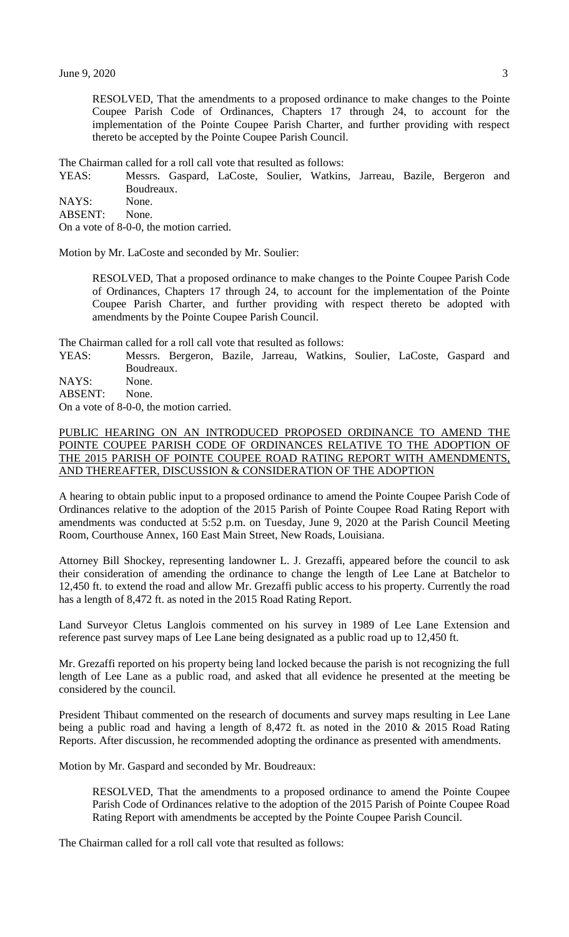RESOLVED, That the amendments to a proposed ordinance to make changes to the Pointe Coupee Parish Code of Ordinances, Chapters 17 through 24, to account for the implementation of the Pointe Coupee Parish Charter, and further providing with respect thereto be accepted by the Pointe Coupee Parish Council.

The Chairman called for a roll call vote that resulted as follows:

YEAS: Messrs. Gaspard, LaCoste, Soulier, Watkins, Jarreau, Bazile, Bergeron and Boudreaux.

NAYS: None.

ABSENT: None.

On a vote of 8-0-0, the motion carried.

Motion by Mr. LaCoste and seconded by Mr. Soulier:

RESOLVED, That a proposed ordinance to make changes to the Pointe Coupee Parish Code of Ordinances, Chapters 17 through 24, to account for the implementation of the Pointe Coupee Parish Charter, and further providing with respect thereto be adopted with amendments by the Pointe Coupee Parish Council.

The Chairman called for a roll call vote that resulted as follows:

YEAS: Messrs. Bergeron, Bazile, Jarreau, Watkins, Soulier, LaCoste, Gaspard and Boudreaux.

NAYS: None.

ABSENT: None.

On a vote of 8-0-0, the motion carried.

## PUBLIC HEARING ON AN INTRODUCED PROPOSED ORDINANCE TO AMEND THE POINTE COUPEE PARISH CODE OF ORDINANCES RELATIVE TO THE ADOPTION OF THE 2015 PARISH OF POINTE COUPEE ROAD RATING REPORT WITH AMENDMENTS, AND THEREAFTER, DISCUSSION & CONSIDERATION OF THE ADOPTION

A hearing to obtain public input to a proposed ordinance to amend the Pointe Coupee Parish Code of Ordinances relative to the adoption of the 2015 Parish of Pointe Coupee Road Rating Report with amendments was conducted at 5:52 p.m. on Tuesday, June 9, 2020 at the Parish Council Meeting Room, Courthouse Annex, 160 East Main Street, New Roads, Louisiana.

Attorney Bill Shockey, representing landowner L. J. Grezaffi, appeared before the council to ask their consideration of amending the ordinance to change the length of Lee Lane at Batchelor to 12,450 ft. to extend the road and allow Mr. Grezaffi public access to his property. Currently the road has a length of 8,472 ft. as noted in the 2015 Road Rating Report.

Land Surveyor Cletus Langlois commented on his survey in 1989 of Lee Lane Extension and reference past survey maps of Lee Lane being designated as a public road up to 12,450 ft.

Mr. Grezaffi reported on his property being land locked because the parish is not recognizing the full length of Lee Lane as a public road, and asked that all evidence he presented at the meeting be considered by the council.

President Thibaut commented on the research of documents and survey maps resulting in Lee Lane being a public road and having a length of 8,472 ft. as noted in the 2010 & 2015 Road Rating Reports. After discussion, he recommended adopting the ordinance as presented with amendments.

Motion by Mr. Gaspard and seconded by Mr. Boudreaux:

RESOLVED, That the amendments to a proposed ordinance to amend the Pointe Coupee Parish Code of Ordinances relative to the adoption of the 2015 Parish of Pointe Coupee Road Rating Report with amendments be accepted by the Pointe Coupee Parish Council.

The Chairman called for a roll call vote that resulted as follows: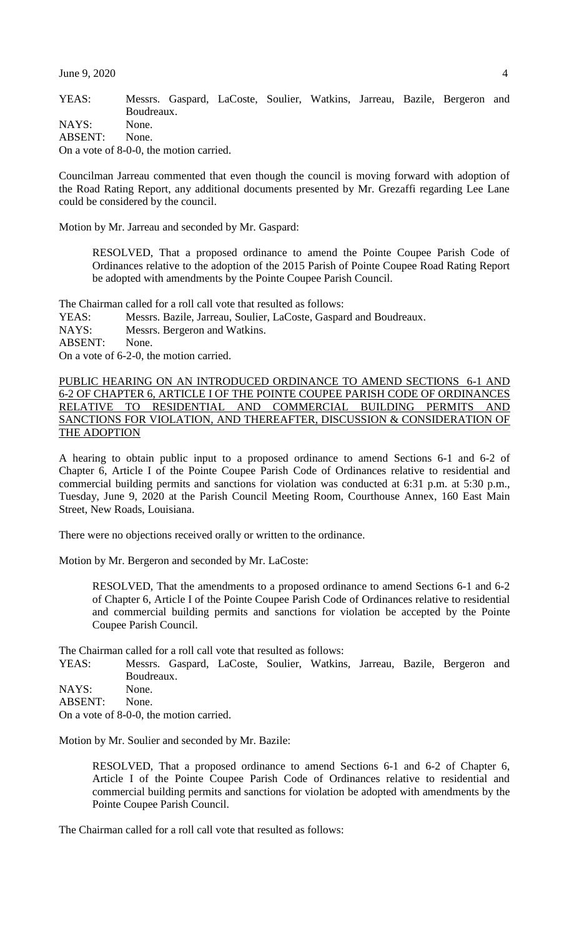June 9, 2020 4

YEAS: Messrs. Gaspard, LaCoste, Soulier, Watkins, Jarreau, Bazile, Bergeron and Boudreaux. NAYS: None. ABSENT: None. On a vote of 8-0-0, the motion carried.

Councilman Jarreau commented that even though the council is moving forward with adoption of the Road Rating Report, any additional documents presented by Mr. Grezaffi regarding Lee Lane could be considered by the council.

Motion by Mr. Jarreau and seconded by Mr. Gaspard:

RESOLVED, That a proposed ordinance to amend the Pointe Coupee Parish Code of Ordinances relative to the adoption of the 2015 Parish of Pointe Coupee Road Rating Report be adopted with amendments by the Pointe Coupee Parish Council.

The Chairman called for a roll call vote that resulted as follows:

YEAS: Messrs. Bazile, Jarreau, Soulier, LaCoste, Gaspard and Boudreaux.

NAYS: Messrs. Bergeron and Watkins.

ABSENT: None.

On a vote of 6-2-0, the motion carried.

PUBLIC HEARING ON AN INTRODUCED ORDINANCE TO AMEND SECTIONS 6-1 AND 6-2 OF CHAPTER 6, ARTICLE I OF THE POINTE COUPEE PARISH CODE OF ORDINANCES RELATIVE TO RESIDENTIAL AND COMMERCIAL BUILDING PERMITS AND SANCTIONS FOR VIOLATION, AND THEREAFTER, DISCUSSION & CONSIDERATION OF THE ADOPTION

A hearing to obtain public input to a proposed ordinance to amend Sections 6-1 and 6-2 of Chapter 6, Article I of the Pointe Coupee Parish Code of Ordinances relative to residential and commercial building permits and sanctions for violation was conducted at 6:31 p.m. at 5:30 p.m., Tuesday, June 9, 2020 at the Parish Council Meeting Room, Courthouse Annex, 160 East Main Street, New Roads, Louisiana.

There were no objections received orally or written to the ordinance.

Motion by Mr. Bergeron and seconded by Mr. LaCoste:

RESOLVED, That the amendments to a proposed ordinance to amend Sections 6-1 and 6-2 of Chapter 6, Article I of the Pointe Coupee Parish Code of Ordinances relative to residential and commercial building permits and sanctions for violation be accepted by the Pointe Coupee Parish Council.

The Chairman called for a roll call vote that resulted as follows:

YEAS: Messrs. Gaspard, LaCoste, Soulier, Watkins, Jarreau, Bazile, Bergeron and Boudreaux.

NAYS: None.

ABSENT: None.

On a vote of 8-0-0, the motion carried.

Motion by Mr. Soulier and seconded by Mr. Bazile:

RESOLVED, That a proposed ordinance to amend Sections 6-1 and 6-2 of Chapter 6, Article I of the Pointe Coupee Parish Code of Ordinances relative to residential and commercial building permits and sanctions for violation be adopted with amendments by the Pointe Coupee Parish Council.

The Chairman called for a roll call vote that resulted as follows: